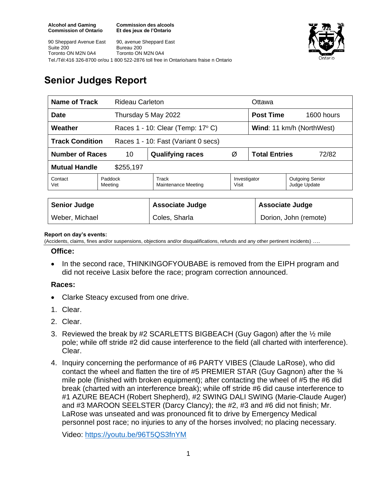**Commission des alcools Et des jeux de l'Ontario**





# **Senior Judges Report**

| <b>Name of Track</b><br>Rideau Carleton                       |                    |                                   |                       | Ottawa                        |                                        |  |
|---------------------------------------------------------------|--------------------|-----------------------------------|-----------------------|-------------------------------|----------------------------------------|--|
| <b>Date</b>                                                   |                    | Thursday 5 May 2022               |                       | <b>Post Time</b>              | 1600 hours                             |  |
| Weather                                                       |                    | Races 1 - 10: Clear (Temp: 17° C) |                       | Wind: 11 km/h (NorthWest)     |                                        |  |
| <b>Track Condition</b><br>Races 1 - 10: Fast (Variant 0 secs) |                    |                                   |                       |                               |                                        |  |
| <b>Number of Races</b><br>10                                  |                    | <b>Qualifying races</b>           | Ø                     | <b>Total Entries</b><br>72/82 |                                        |  |
| <b>Mutual Handle</b><br>\$255,197                             |                    |                                   |                       |                               |                                        |  |
| Contact<br>Vet                                                | Paddock<br>Meeting | Track<br>Maintenance Meeting      | Investigator<br>Visit |                               | <b>Outgoing Senior</b><br>Judge Update |  |
|                                                               |                    |                                   |                       |                               |                                        |  |
| <b>Senior Judge</b>                                           |                    | <b>Associate Judge</b>            |                       |                               | <b>Associate Judge</b>                 |  |
| Weber, Michael                                                |                    | Coles, Sharla                     |                       |                               | Dorion, John (remote)                  |  |

#### **Report on day's events:**

(Accidents, claims, fines and/or suspensions, objections and/or disqualifications, refunds and any other pertinent incidents) ….

#### **Office:**

• In the second race, THINKINGOFYOUBABE is removed from the EIPH program and did not receive Lasix before the race; program correction announced.

### **Races:**

- Clarke Steacy excused from one drive.
- 1. Clear.
- 2. Clear.
- 3. Reviewed the break by #2 SCARLETTS BIGBEACH (Guy Gagon) after the ½ mile pole; while off stride #2 did cause interference to the field (all charted with interference). Clear.
- 4. Inquiry concerning the performance of #6 PARTY VIBES (Claude LaRose), who did contact the wheel and flatten the tire of #5 PREMIER STAR (Guy Gagnon) after the  $\frac{3}{4}$ mile pole (finished with broken equipment); after contacting the wheel of #5 the #6 did break (charted with an interference break); while off stride #6 did cause interference to #1 AZURE BEACH (Robert Shepherd), #2 SWING DALI SWING (Marie-Claude Auger) and #3 MAROON SEELSTER (Darcy Clancy); the #2, #3 and #6 did not finish; Mr. LaRose was unseated and was pronounced fit to drive by Emergency Medical personnel post race; no injuries to any of the horses involved; no placing necessary.

Video:<https://youtu.be/96T5QS3fnYM>